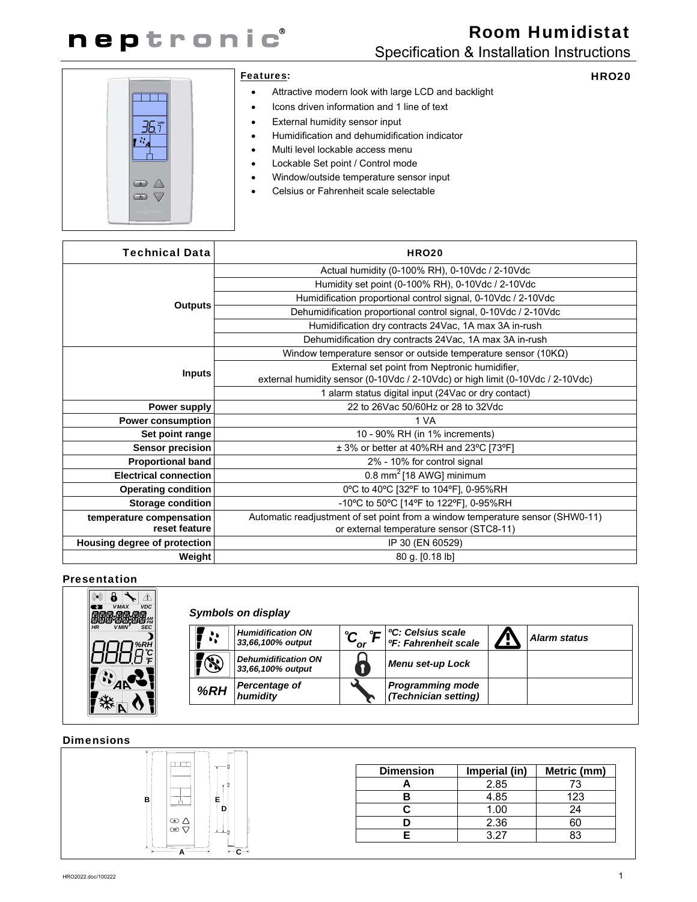

# Room Humidistat Specification & Installation Instructions

HRO20

-15  $\bigcirc$  $\circ$ 

#### Features:

- Attractive modern look with large LCD and backlight
- Icons driven information and 1 line of text
- External humidity sensor input
- Humidification and dehumidification indicator
- Multi level lockable access menu
- Lockable Set point / Control mode
- Window/outside temperature sensor input
- Celsius or Fahrenheit scale selectable

| <b>Technical Data</b>        | <b>HRO20</b>                                                                   |  |
|------------------------------|--------------------------------------------------------------------------------|--|
|                              | Actual humidity (0-100% RH), 0-10Vdc / 2-10Vdc                                 |  |
|                              | Humidity set point (0-100% RH), 0-10Vdc / 2-10Vdc                              |  |
|                              | Humidification proportional control signal, 0-10Vdc / 2-10Vdc                  |  |
| <b>Outputs</b>               | Dehumidification proportional control signal, 0-10Vdc / 2-10Vdc                |  |
|                              | Humidification dry contracts 24Vac, 1A max 3A in-rush                          |  |
|                              | Dehumidification dry contracts 24Vac, 1A max 3A in-rush                        |  |
|                              | Window temperature sensor or outside temperature sensor ( $10K\Omega$ )        |  |
| <b>Inputs</b>                | External set point from Neptronic humidifier,                                  |  |
|                              | external humidity sensor (0-10Vdc / 2-10Vdc) or high limit (0-10Vdc / 2-10Vdc) |  |
|                              | 1 alarm status digital input (24Vac or dry contact)                            |  |
| Power supply                 | 22 to 26 Vac 50/60 Hz or 28 to 32 Vdc                                          |  |
| <b>Power consumption</b>     | 1 VA                                                                           |  |
| Set point range              | 10 - 90% RH (in 1% increments)                                                 |  |
| Sensor precision             | ± 3% or better at 40%RH and 23°C [73°F]                                        |  |
| <b>Proportional band</b>     | 2% - 10% for control signal                                                    |  |
| <b>Electrical connection</b> | 0.8 mm <sup>2</sup> [18 AWG] minimum                                           |  |
| <b>Operating condition</b>   | 0°C to 40°C [32°F to 104°F], 0-95%RH                                           |  |
| <b>Storage condition</b>     | -10°C to 50°C [14°F to 122°F], 0-95%RH                                         |  |
| temperature compensation     | Automatic readjustment of set point from a window temperature sensor (SHW0-11) |  |
| reset feature                | or external temperature sensor (STC8-11)                                       |  |
| Housing degree of protection | IP 30 (EN 60529)                                                               |  |
| Weight                       | 80 g. [0.18 lb]                                                                |  |

#### Presentation



| Symbols on display |                                                 |     |                                                                   |  |                     |
|--------------------|-------------------------------------------------|-----|-------------------------------------------------------------------|--|---------------------|
| $\bullet$ :        | <b>Humidification ON</b><br>33,66,100% output   | 'or | <sup>o</sup> C: Celsius scale<br><sup>o</sup> F: Fahrenheit scale |  | <b>Alarm status</b> |
|                    | <b>Dehumidification ON</b><br>33,66,100% output |     | <b>Menu set-up Lock</b>                                           |  |                     |
| %RH                | Percentage of<br>humidity                       |     | <b>Programming mode</b><br>(Technician setting)                   |  |                     |

#### **Dimensions**



| <b>Dimension</b> | Imperial (in) | Metric (mm) |
|------------------|---------------|-------------|
|                  | 2.85          | 73          |
|                  | 4.85          | 123         |
|                  | 1.00          | 24          |
|                  | 2.36          |             |
|                  | 3 27          |             |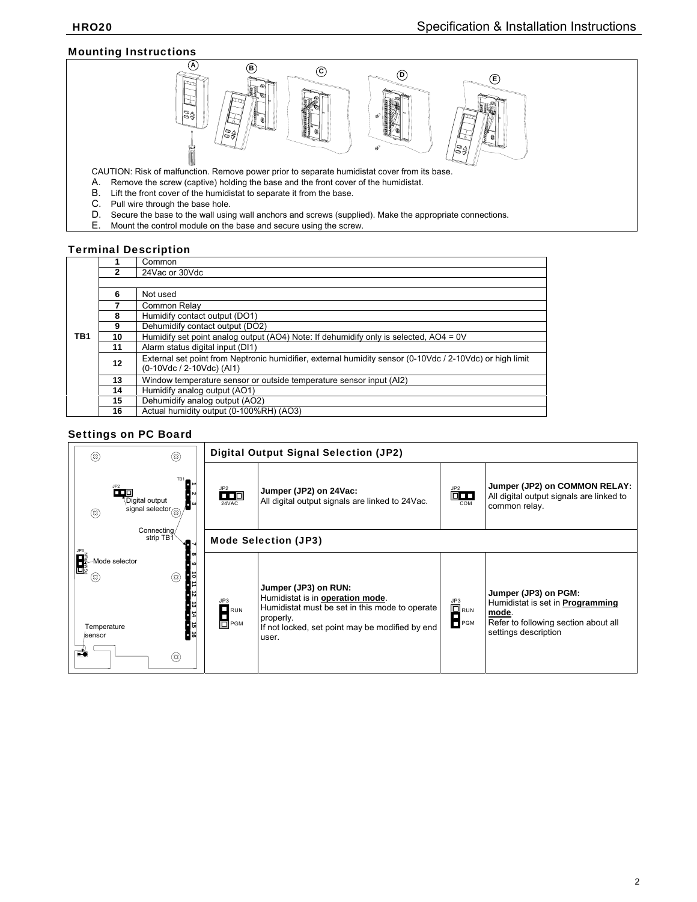### Mounting Instructions



CAUTION: Risk of malfunction. Remove power prior to separate humidistat cover from its base.

- A. Remove the screw (captive) holding the base and the front cover of the humidistat.<br>B. Lift the front cover of the humidistat to separate it from the base.
- Lift the front cover of the humidistat to separate it from the base.
- C. Pull wire through the base hole.<br>D. Secure the base to the wall using
- Secure the base to the wall using wall anchors and screws (supplied). Make the appropriate connections.
- E. Mount the control module on the base and secure using the screw.

#### Terminal Description

|                 |                | Common                                                                                                                                |
|-----------------|----------------|---------------------------------------------------------------------------------------------------------------------------------------|
|                 | $\overline{2}$ | 24 Vac or 30 Vdc                                                                                                                      |
|                 |                |                                                                                                                                       |
|                 | 6              | Not used                                                                                                                              |
|                 |                | Common Relav                                                                                                                          |
|                 | 8              | Humidify contact output (DO1)                                                                                                         |
|                 | 9              | Dehumidify contact output (DO2)                                                                                                       |
| TB <sub>1</sub> | 10             | Humidify set point analog output (AO4) Note: If dehumidify only is selected, AO4 = 0V                                                 |
|                 | 11             | Alarm status digital input (DI1)                                                                                                      |
|                 | 12             | External set point from Neptronic humidifier, external humidity sensor (0-10Vdc / 2-10Vdc) or high limit<br>(0-10Vdc / 2-10Vdc) (Al1) |
|                 | 13             | Window temperature sensor or outside temperature sensor input (AI2)                                                                   |
|                 | 14             | Humidify analog output (AO1)                                                                                                          |
|                 | 15             | Dehumidify analog output (AO2)                                                                                                        |
|                 | 16             | Actual humidity output (0-100%RH) (AO3)                                                                                               |

#### Settings on PC Board

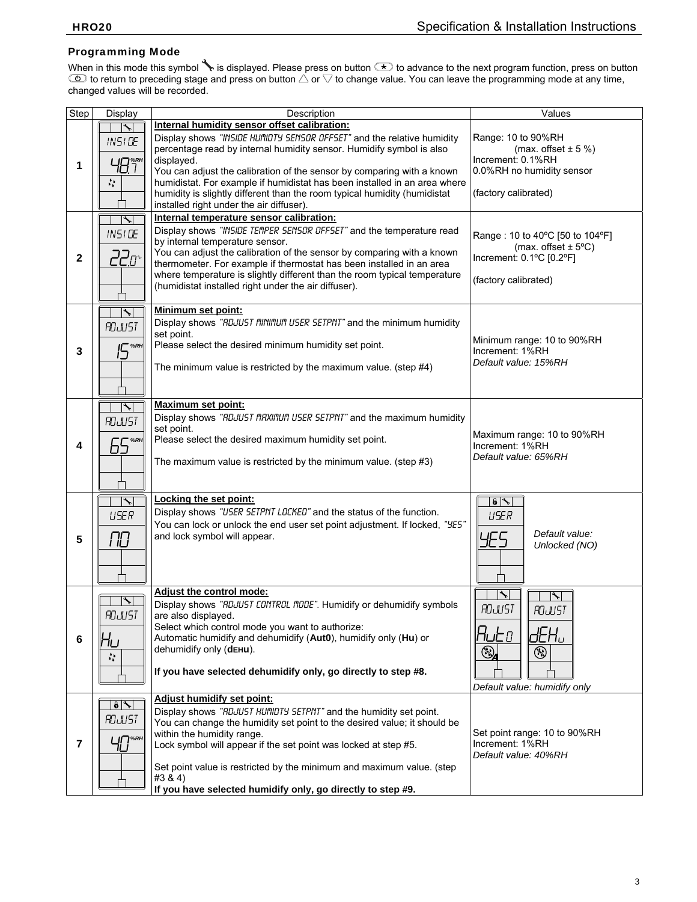# Programming Mode

When in this mode this symbol No is displayed. Please press on button ( $\leq$ ) to advance to the next program function, press on button to return to preceding stage and press on button  $\triangle$  or  $\nabla$  to change value. You can leave the programming mode at any time, changed values will be recorded.

| Step                    | <b>Display</b>                            | Description                                                                                                                                            | Values                                                     |  |
|-------------------------|-------------------------------------------|--------------------------------------------------------------------------------------------------------------------------------------------------------|------------------------------------------------------------|--|
|                         | $\overline{\mathcal{L}}$                  | Internal humidity sensor offset calibration:                                                                                                           |                                                            |  |
| 1                       | <b>INSIDE</b>                             | Display shows "INSIDE HUMDTY SENSOR OFFSET" and the relative humidity                                                                                  | Range: 10 to 90%RH                                         |  |
|                         |                                           | percentage read by internal humidity sensor. Humidify symbol is also                                                                                   | (max. offset $\pm$ 5 %)                                    |  |
|                         | பு⊟™                                      | displayed.                                                                                                                                             | Increment: 0.1%RH                                          |  |
|                         |                                           | You can adjust the calibration of the sensor by comparing with a known                                                                                 | 0.0%RH no humidity sensor                                  |  |
|                         | ₩.                                        | humidistat. For example if humidistat has been installed in an area where<br>humidity is slightly different than the room typical humidity (humidistat | (factory calibrated)                                       |  |
|                         |                                           | installed right under the air diffuser).                                                                                                               |                                                            |  |
|                         | $\blacktriangleright$                     | Internal temperature sensor calibration:                                                                                                               |                                                            |  |
|                         | <b>INSIDE</b>                             | Display shows "INSIDE TEMPER SENSOR OFFSET" and the temperature read                                                                                   |                                                            |  |
|                         |                                           | by internal temperature sensor.                                                                                                                        | Range: 10 to 40°C [50 to 104°F]<br>(max. offset $\pm$ 5°C) |  |
| $\mathbf{2}$            | <u>220°</u>                               | You can adjust the calibration of the sensor by comparing with a known                                                                                 | Increment: 0.1°C [0.2°F]                                   |  |
|                         |                                           | thermometer. For example if thermostat has been installed in an area                                                                                   |                                                            |  |
|                         |                                           | where temperature is slightly different than the room typical temperature                                                                              | (factory calibrated)                                       |  |
|                         |                                           | (humidistat installed right under the air diffuser).                                                                                                   |                                                            |  |
|                         | $\biggarrow$                              | Minimum set point:                                                                                                                                     |                                                            |  |
|                         |                                           | Display shows "RDJUST MINIMUM USER SETPNT" and the minimum humidity                                                                                    |                                                            |  |
|                         | ROJUST                                    | set point.                                                                                                                                             | Minimum range: 10 to 90%RH<br>Increment: 1%RH              |  |
| 3                       | IC %RH                                    | Please select the desired minimum humidity set point.                                                                                                  |                                                            |  |
|                         |                                           |                                                                                                                                                        | Default value: 15%RH                                       |  |
|                         |                                           | The minimum value is restricted by the maximum value. (step #4)                                                                                        |                                                            |  |
|                         |                                           |                                                                                                                                                        |                                                            |  |
|                         | ╲                                         | <b>Maximum set point:</b>                                                                                                                              |                                                            |  |
|                         |                                           | Display shows "RDJUST MRXIMUM USER SETPNT" and the maximum humidity                                                                                    |                                                            |  |
|                         | ROJUST                                    | set point.                                                                                                                                             |                                                            |  |
| 4                       | 65*BH                                     | Please select the desired maximum humidity set point.                                                                                                  | Maximum range: 10 to 90%RH<br>Increment: 1%RH              |  |
|                         |                                           |                                                                                                                                                        | Default value: 65%RH                                       |  |
|                         |                                           | The maximum value is restricted by the minimum value. (step #3)                                                                                        |                                                            |  |
|                         |                                           |                                                                                                                                                        |                                                            |  |
|                         | ヽ                                         | Locking the set point:                                                                                                                                 | $\theta$ $\sim$                                            |  |
|                         | <b>USER</b>                               | Display shows "USER SETPNT LOCKED" and the status of the function.                                                                                     | <b>USER</b>                                                |  |
|                         |                                           | You can lock or unlock the end user set point adjustment. If locked, "YES"                                                                             |                                                            |  |
| 5                       | ПO                                        | and lock symbol will appear.                                                                                                                           | Default value:<br>YES                                      |  |
|                         |                                           |                                                                                                                                                        | Unlocked (NO)                                              |  |
|                         |                                           |                                                                                                                                                        |                                                            |  |
|                         |                                           |                                                                                                                                                        |                                                            |  |
|                         |                                           | Adjust the control mode:                                                                                                                               |                                                            |  |
|                         | $\overline{\phantom{a}}$                  | Display shows "RDJUST CONTROL MODE". Humidify or dehumidify symbols                                                                                    | <b>ROJUST</b><br><b>ROJUST</b>                             |  |
|                         | <b>ROJUST</b>                             | are also displayed.                                                                                                                                    |                                                            |  |
|                         |                                           | Select which control mode you want to authorize:<br>Automatic humidify and dehumidify (Aut0), humidify only (Hu) or                                    | $R$ ر ط<br>dEHu                                            |  |
| 6                       | טר                                        | dehumidify only (dEHu).                                                                                                                                |                                                            |  |
|                         | ÷,                                        |                                                                                                                                                        | $\bigcirc$<br>⊛                                            |  |
|                         |                                           | If you have selected dehumidify only, go directly to step #8.                                                                                          |                                                            |  |
|                         |                                           |                                                                                                                                                        | Default value: humidify only                               |  |
|                         | $\overline{\bullet}$ $\overline{\bullet}$ | Adjust humidify set point:                                                                                                                             |                                                            |  |
|                         | ROJUST                                    | Display shows "RDJUST HUMDTY SETPNT" and the humidity set point.                                                                                       |                                                            |  |
|                         |                                           | You can change the humidity set point to the desired value; it should be                                                                               |                                                            |  |
| $\overline{\mathbf{r}}$ | $\Box$                                    | within the humidity range.<br>Lock symbol will appear if the set point was locked at step #5.                                                          | Set point range: 10 to 90%RH<br>Increment: 1%RH            |  |
|                         |                                           |                                                                                                                                                        | Default value: 40%RH                                       |  |
|                         |                                           | Set point value is restricted by the minimum and maximum value. (step                                                                                  |                                                            |  |
|                         |                                           | #3 & 4)                                                                                                                                                |                                                            |  |
|                         |                                           | If you have selected humidify only, go directly to step #9.                                                                                            |                                                            |  |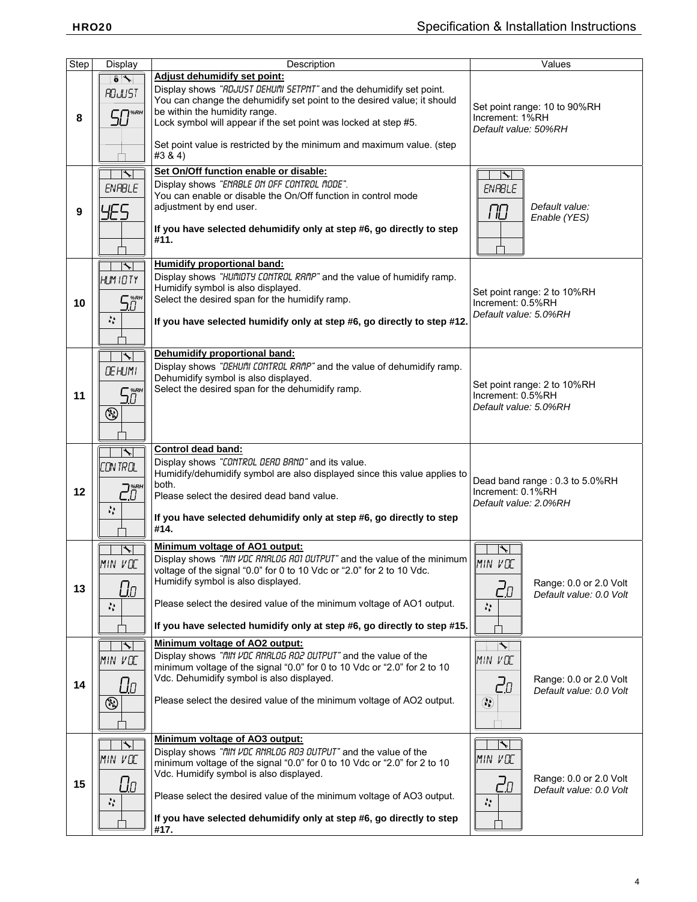| <b>Step</b>      | Display                                         | Description                                                                        | Values                                     |  |  |
|------------------|-------------------------------------------------|------------------------------------------------------------------------------------|--------------------------------------------|--|--|
|                  | $\overline{\bullet}$                            | Adjust dehumidify set point:                                                       |                                            |  |  |
|                  | ROJUST                                          | Display shows "RDJUST DEHUI'll SETPNT" and the dehumidify set point.               |                                            |  |  |
|                  |                                                 | You can change the dehumidify set point to the desired value; it should            | Set point range: 10 to 90%RH               |  |  |
| 8                | $50^{\tiny\textnormal{>}}$                      | be within the humidity range.                                                      | Increment: 1%RH                            |  |  |
|                  |                                                 | Lock symbol will appear if the set point was locked at step #5.                    | Default value: 50%RH                       |  |  |
|                  |                                                 |                                                                                    |                                            |  |  |
|                  |                                                 | Set point value is restricted by the minimum and maximum value. (step              |                                            |  |  |
|                  |                                                 | #3 & 4)                                                                            |                                            |  |  |
|                  | $\overline{\phantom{a}}$                        | Set On/Off function enable or disable:                                             | $\overline{\phantom{a}}$                   |  |  |
|                  | <b>ENRBLE</b>                                   | Display shows "ENRBLE ON OFF CONTROL NODE".                                        | <b>ENRBLE</b>                              |  |  |
|                  |                                                 | You can enable or disable the On/Off function in control mode                      |                                            |  |  |
| $\boldsymbol{9}$ | YES.                                            | adjustment by end user.                                                            | Default value:<br>ПO                       |  |  |
|                  |                                                 |                                                                                    | Enable (YES)                               |  |  |
|                  |                                                 | If you have selected dehumidify only at step #6, go directly to step               |                                            |  |  |
|                  |                                                 | #11.                                                                               |                                            |  |  |
|                  |                                                 |                                                                                    |                                            |  |  |
|                  | ╲                                               | <b>Humidify proportional band:</b>                                                 |                                            |  |  |
|                  | HLIM 10 TY                                      | Display shows "HUMIDTY CONTROL RAMP" and the value of humidify ramp.               |                                            |  |  |
|                  |                                                 | Humidify symbol is also displayed.                                                 | Set point range: 2 to 10%RH                |  |  |
| 10               | 58°                                             | Select the desired span for the humidify ramp.                                     | Increment: 0.5%RH                          |  |  |
|                  | 盐                                               | If you have selected humidify only at step #6, go directly to step #12.            | Default value: 5.0%RH                      |  |  |
|                  |                                                 |                                                                                    |                                            |  |  |
|                  |                                                 |                                                                                    |                                            |  |  |
|                  | ∱                                               | Dehumidify proportional band:                                                      |                                            |  |  |
|                  |                                                 | Display shows "DEHUI'll CONTROL RAMP" and the value of dehumidify ramp.            |                                            |  |  |
|                  | <b>DE HUMI</b>                                  | Dehumidify symbol is also displayed.                                               |                                            |  |  |
|                  |                                                 | Select the desired span for the dehumidify ramp.                                   | Set point range: 2 to 10%RH                |  |  |
| 11               | 58°F                                            |                                                                                    | Increment: 0.5%RH                          |  |  |
|                  | $\circledS$                                     |                                                                                    | Default value: 5.0%RH                      |  |  |
|                  |                                                 |                                                                                    |                                            |  |  |
|                  |                                                 |                                                                                    |                                            |  |  |
|                  | $\overline{\phantom{a}}$                        | Control dead band:                                                                 |                                            |  |  |
|                  | CONTROL                                         | Display shows "CONTROL DERD BRND" and its value.                                   |                                            |  |  |
|                  |                                                 | Humidify/dehumidify symbol are also displayed since this value applies to          |                                            |  |  |
|                  |                                                 | both.                                                                              | Dead band range: 0.3 to 5.0%RH             |  |  |
| 12               | $\vec{C}^{\text{\tiny{RPH}}}_{\text{\tiny{U}}}$ | Please select the desired dead band value.                                         | Increment: 0.1%RH<br>Default value: 2.0%RH |  |  |
|                  | Ņ.                                              |                                                                                    |                                            |  |  |
|                  |                                                 | If you have selected dehumidify only at step #6, go directly to step               |                                            |  |  |
|                  |                                                 | #14.                                                                               |                                            |  |  |
|                  | $\overline{\phantom{a}}$                        | Minimum voltage of AO1 output:                                                     |                                            |  |  |
|                  | MIN VOC                                         | Display shows "fill" VDC RNRLOG ROT OUTPUT" and the value of the minimum   MIN VOC |                                            |  |  |
|                  |                                                 | voltage of the signal "0.0" for 0 to 10 Vdc or "2.0" for 2 to 10 Vdc.              |                                            |  |  |
| 13               |                                                 | Humidify symbol is also displayed.                                                 | Range: 0.0 or 2.0 Volt                     |  |  |
|                  | Uо                                              |                                                                                    | 20<br>Default value: 0.0 Volt              |  |  |
|                  | Ą.                                              | Please select the desired value of the minimum voltage of AO1 output.              | 盐                                          |  |  |
|                  |                                                 |                                                                                    |                                            |  |  |
|                  |                                                 | If you have selected humidify only at step #6, go directly to step #15.            |                                            |  |  |
|                  | ↖                                               | Minimum voltage of AO2 output:                                                     | ト                                          |  |  |
|                  | MIN VOC                                         | Display shows "fill VDC RNRL06 R02 0UTPUT" and the value of the                    | MIN VOC                                    |  |  |
|                  |                                                 | minimum voltage of the signal "0.0" for 0 to 10 Vdc or "2.0" for 2 to 10           |                                            |  |  |
| 14               | Uо                                              | Vdc. Dehumidify symbol is also displayed.                                          | Range: 0.0 or 2.0 Volt<br>20               |  |  |
|                  |                                                 |                                                                                    | Default value: 0.0 Volt                    |  |  |
|                  | ۷                                               | Please select the desired value of the minimum voltage of AO2 output.              | $\circledS$                                |  |  |
|                  |                                                 |                                                                                    |                                            |  |  |
|                  |                                                 |                                                                                    |                                            |  |  |
|                  | $\blacklozenge$                                 | Minimum voltage of AO3 output:                                                     |                                            |  |  |
| 15               | MIN VOC                                         | Display shows "fill VDC RNRL06 R03 0UTPUT" and the value of the                    | MIN VOC                                    |  |  |
|                  |                                                 | minimum voltage of the signal "0.0" for 0 to 10 Vdc or "2.0" for 2 to 10           |                                            |  |  |
|                  |                                                 | Vdc. Humidify symbol is also displayed.                                            | Range: 0.0 or 2.0 Volt                     |  |  |
|                  | <u>Un</u>                                       | Please select the desired value of the minimum voltage of AO3 output.              | 2a<br>Default value: 0.0 Volt              |  |  |
|                  | Λř.                                             |                                                                                    | $\mathcal{C}_{\mathbf{r}}$                 |  |  |
|                  |                                                 | If you have selected dehumidify only at step #6, go directly to step               |                                            |  |  |
|                  |                                                 | #17.                                                                               |                                            |  |  |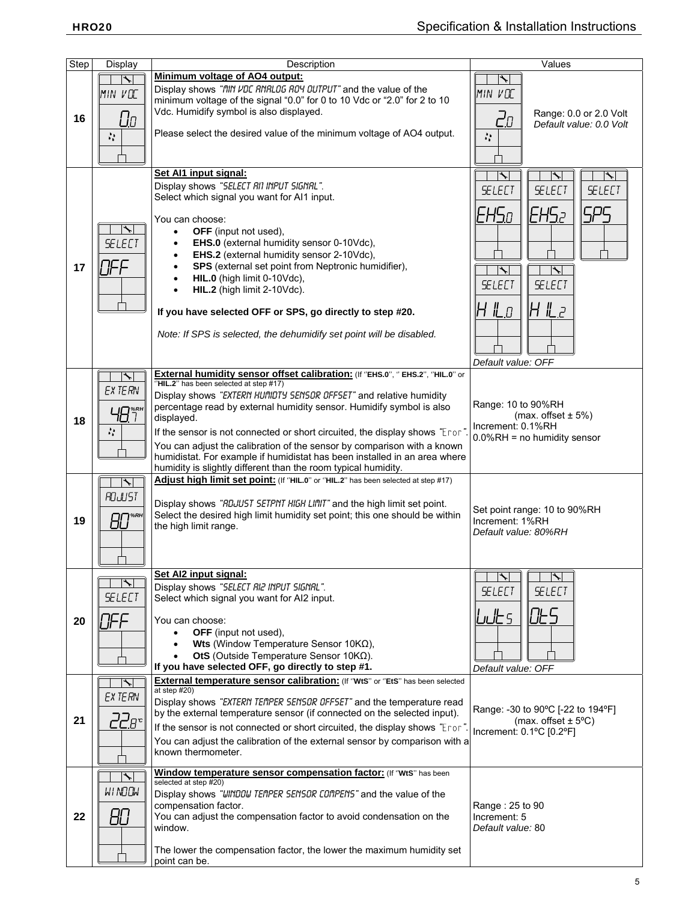| <b>Step</b> | Display                          | Description                                                                                                                                           | Values                                              |
|-------------|----------------------------------|-------------------------------------------------------------------------------------------------------------------------------------------------------|-----------------------------------------------------|
|             |                                  | Minimum voltage of AO4 output:                                                                                                                        | ╲                                                   |
| 16          | MIN VOC                          | Display shows "fill" VDC RNRL0G R04 0UTPUT" and the value of the                                                                                      | MIN VOC                                             |
|             |                                  | minimum voltage of the signal "0.0" for 0 to 10 Vdc or "2.0" for 2 to 10                                                                              |                                                     |
|             | Uо                               | Vdc. Humidify symbol is also displayed.                                                                                                               | Range: 0.0 or 2.0 Volt<br>20                        |
|             |                                  | Please select the desired value of the minimum voltage of AO4 output.                                                                                 | Default value: 0.0 Volt                             |
|             | $\mathcal{C}$                    |                                                                                                                                                       | Š,                                                  |
|             |                                  |                                                                                                                                                       |                                                     |
|             |                                  | Set Al1 input signal:                                                                                                                                 | ↖<br>$ \mathcal{F} $                                |
|             |                                  | Display shows "SELECT RII INPUT SIGNRL".                                                                                                              | <b>SELECT</b><br><b>SELECT</b><br><b>SELECT</b>     |
|             |                                  | Select which signal you want for AI1 input.                                                                                                           |                                                     |
|             |                                  |                                                                                                                                                       | EHS2<br>525<br>IEHSo                                |
|             | ↸                                | You can choose:<br>OFF (input not used),<br>$\bullet$                                                                                                 |                                                     |
|             | <b>SELECT</b>                    | EHS.0 (external humidity sensor 0-10Vdc),<br>$\bullet$                                                                                                |                                                     |
|             |                                  | EHS.2 (external humidity sensor 2-10Vdc),<br>$\bullet$                                                                                                |                                                     |
| 17          | TFF                              | SPS (external set point from Neptronic humidifier),<br>$\bullet$                                                                                      | ↖                                                   |
|             |                                  | HIL.0 (high limit 0-10Vdc),<br>$\bullet$                                                                                                              | <b>SELECT</b><br><b>SELECT</b>                      |
|             |                                  | HIL.2 (high limit 2-10Vdc).<br>$\bullet$                                                                                                              |                                                     |
|             |                                  | If you have selected OFF or SPS, go directly to step #20.                                                                                             | $H \mathrel{\mathit{L}}\!\!\mathit{I}$<br>╟╉╙╒      |
|             |                                  |                                                                                                                                                       |                                                     |
|             |                                  | Note: If SPS is selected, the dehumidify set point will be disabled.                                                                                  |                                                     |
|             |                                  |                                                                                                                                                       |                                                     |
|             |                                  |                                                                                                                                                       | Default value: OFF                                  |
|             | $\overline{\phantom{a}}$         | External humidity sensor offset calibration: (If "EHS.0", " EHS.2", "HIL.0" or<br>"HIL.2" has been selected at step #17)                              |                                                     |
|             | EX TERN                          | Display shows "EXTERN HUMIDTY SENSOR OFFSET" and relative humidity                                                                                    |                                                     |
|             | 48*"                             | percentage read by external humidity sensor. Humidify symbol is also                                                                                  | Range: 10 to 90%RH                                  |
| 18          |                                  | displayed.                                                                                                                                            | (max. offset $\pm$ 5%)<br>Increment: 0.1%RH         |
|             | Ą.                               | If the sensor is not connected or short circuited, the display shows "Eror"                                                                           | $0.0\%RH =$ no humidity sensor                      |
|             |                                  | You can adjust the calibration of the sensor by comparison with a known<br>humidistat. For example if humidistat has been installed in an area where  |                                                     |
|             |                                  | humidity is slightly different than the room typical humidity.                                                                                        |                                                     |
|             | $\blacktriangledown$             | Adjust high limit set point: (If "HIL.0" or "HIL.2" has been selected at step #17)                                                                    |                                                     |
|             | <b>ROJUST</b>                    |                                                                                                                                                       |                                                     |
|             |                                  | Display shows "RDJUST SETPNT HIGH LINIT" and the high limit set point.<br>Select the desired high limit humidity set point; this one should be within | Set point range: 10 to 90%RH                        |
| 19          | $\theta$ 0 $^{\ast\kappa\kappa}$ | the high limit range.                                                                                                                                 | Increment: 1%RH                                     |
|             |                                  |                                                                                                                                                       | Default value: 80%RH                                |
|             |                                  |                                                                                                                                                       |                                                     |
|             |                                  | Set Al2 input signal:                                                                                                                                 |                                                     |
|             |                                  | Display shows "SELECT RI2 INPUT SIGNRL".                                                                                                              | $\blacktriangleright$<br>$\bigtriangledown$         |
|             | <b>SELECT</b>                    | Select which signal you want for AI2 input.                                                                                                           | <b>SELECT</b><br><b>SELECT</b>                      |
|             |                                  |                                                                                                                                                       | OŁS<br>ى ئالىرا                                     |
| 20          | JFF                              | You can choose:<br><b>OFF</b> (input not used),<br>$\bullet$                                                                                          |                                                     |
|             |                                  | Wts (Window Temperature Sensor 10 $K\Omega$ ),<br>$\bullet$                                                                                           |                                                     |
|             |                                  | OtS (Outside Temperature Sensor 10ΚΩ).                                                                                                                |                                                     |
|             |                                  | If you have selected OFF, go directly to step #1.                                                                                                     | Default value: OFF                                  |
|             | ↖                                | External temperature sensor calibration: (If "WtS" or "EtS" has been selected<br>at step $#20$ )                                                      |                                                     |
|             | EX TERN                          | Display shows "EXTERN TEMPER SENSOR OFFSET" and the temperature read                                                                                  |                                                     |
|             |                                  | by the external temperature sensor (if connected on the selected input).                                                                              | Range: -30 to 90°C [-22 to 194°F]                   |
| 21          | 22e°                             | If the sensor is not connected or short circuited, the display shows "Eror"                                                                           | (max. offset $\pm$ 5°C)<br>Increment: 0.1°C [0.2°F] |
|             |                                  | You can adjust the calibration of the external sensor by comparison with a                                                                            |                                                     |
|             |                                  | known thermometer.                                                                                                                                    |                                                     |
|             | $\overline{\phantom{a}}$         | Window temperature sensor compensation factor: (If "WtS" has been                                                                                     |                                                     |
|             | WINDOW                           | selected at step #20)                                                                                                                                 |                                                     |
|             |                                  | Display shows "WINDOW TEMPER SENSOR COMPENS" and the value of the<br>compensation factor.                                                             |                                                     |
| 22          | 80                               | You can adjust the compensation factor to avoid condensation on the                                                                                   | Range: 25 to 90<br>Increment: 5                     |
|             |                                  | window.                                                                                                                                               | Default value: 80                                   |
|             |                                  |                                                                                                                                                       |                                                     |
|             |                                  | The lower the compensation factor, the lower the maximum humidity set<br>point can be.                                                                |                                                     |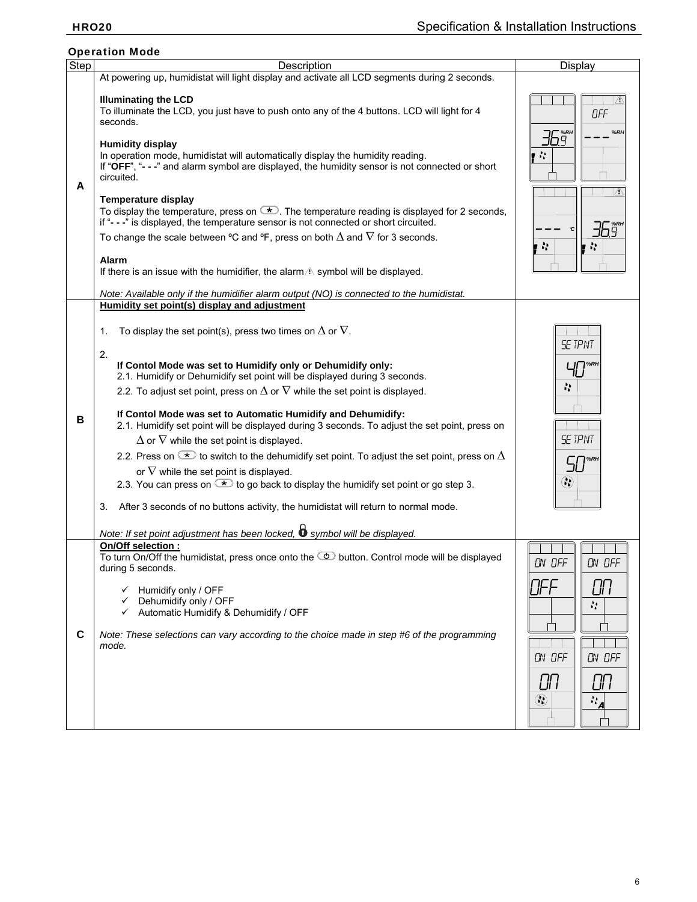| <b>Operation Mode</b> |                                                                                                                                                                                                                                                                                                                                                                                                                                                                                                                                                                                                                                                                                                                                                                                                                                                                                                                                                                                                                                                               |                                                                                                    |  |  |  |  |
|-----------------------|---------------------------------------------------------------------------------------------------------------------------------------------------------------------------------------------------------------------------------------------------------------------------------------------------------------------------------------------------------------------------------------------------------------------------------------------------------------------------------------------------------------------------------------------------------------------------------------------------------------------------------------------------------------------------------------------------------------------------------------------------------------------------------------------------------------------------------------------------------------------------------------------------------------------------------------------------------------------------------------------------------------------------------------------------------------|----------------------------------------------------------------------------------------------------|--|--|--|--|
| Step                  | Description                                                                                                                                                                                                                                                                                                                                                                                                                                                                                                                                                                                                                                                                                                                                                                                                                                                                                                                                                                                                                                                   | Display                                                                                            |  |  |  |  |
| A                     | At powering up, humidistat will light display and activate all LCD segments during 2 seconds.<br><b>Illuminating the LCD</b><br>To illuminate the LCD, you just have to push onto any of the 4 buttons. LCD will light for 4<br>seconds.<br><b>Humidity display</b><br>In operation mode, humidistat will automatically display the humidity reading.<br>If "OFF", "---" and alarm symbol are displayed, the humidity sensor is not connected or short<br>circuited.<br><b>Temperature display</b><br>To display the temperature, press on $\blacktriangleright$ . The temperature reading is displayed for 2 seconds,<br>if "---" is displayed, the temperature sensor is not connected or short circuited.<br>To change the scale between °C and °F, press on both $\Delta$ and $\nabla$ for 3 seconds.<br><b>Alarm</b><br>If there is an issue with the humidifier, the alarm $\triangle$ symbol will be displayed.<br>Note: Available only if the humidifier alarm output (NO) is connected to the humidistat.                                            | OFF<br>%RH<br>36. šr<br>$\mathcal{C}^{\mathcal{A}}_{\mathcal{A}}$<br>∧<br>$\mathcal{L}_\mathbf{r}$ |  |  |  |  |
| В                     | Humidity set point(s) display and adjustment<br>To display the set point(s), press two times on $\Delta$ or $\nabla$ .<br>1.<br>2.<br>If Contol Mode was set to Humidify only or Dehumidify only:<br>2.1. Humidify or Dehumidify set point will be displayed during 3 seconds.<br>2.2. To adjust set point, press on $\Delta$ or $\nabla$ while the set point is displayed.<br>If Contol Mode was set to Automatic Humidify and Dehumidify:<br>2.1. Humidify set point will be displayed during 3 seconds. To adjust the set point, press on<br>$\Delta$ or $\nabla$ while the set point is displayed.<br>2.2. Press on $\overline{I}$ to switch to the dehumidify set point. To adjust the set point, press on $\Delta$<br>or $\nabla$ while the set point is displayed.<br>2.3. You can press on $\rightarrow$ to go back to display the humidify set point or go step 3.<br>After 3 seconds of no buttons activity, the humidistat will return to normal mode.<br>3.<br>Note: If set point adjustment has been locked, $\bullet$ symbol will be displayed. | <b>SE TPNT</b><br>T %RH<br>à.<br><b>SE TPNT</b><br>%RH<br>⊛                                        |  |  |  |  |
| C                     | On/Off selection :<br>To turn On/Off the humidistat, press once onto the $\circled{2}$ button. Control mode will be displayed<br>during 5 seconds.<br>Humidify only / OFF<br>✓<br>Dehumidify only / OFF<br>✓<br>Automatic Humidify & Dehumidify / OFF<br>✓<br>Note: These selections can vary according to the choice made in step #6 of the programming<br>mode.                                                                                                                                                                                                                                                                                                                                                                                                                                                                                                                                                                                                                                                                                             | ON OFF<br>ON OFF<br>OFF<br>OП<br>N,<br>ON OFF<br>ON OFF<br>CП<br>OП<br>$\circledS$<br><br>"4       |  |  |  |  |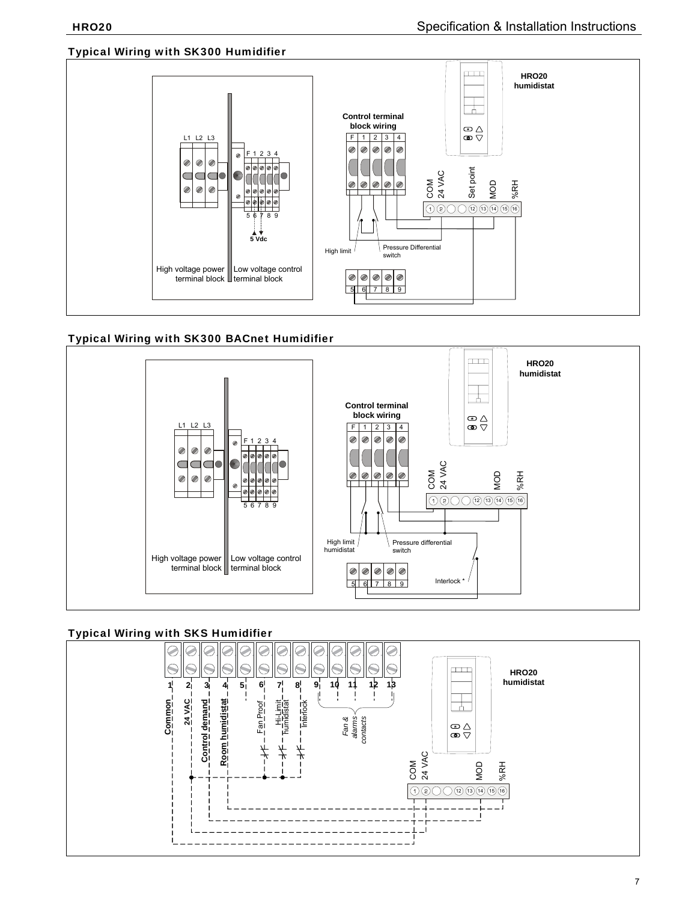## Typical Wiring with SK300 Humidifier



# Typical Wiring with SK300 BACnet Humidifier



# Typical Wiring with SKS Humidifier